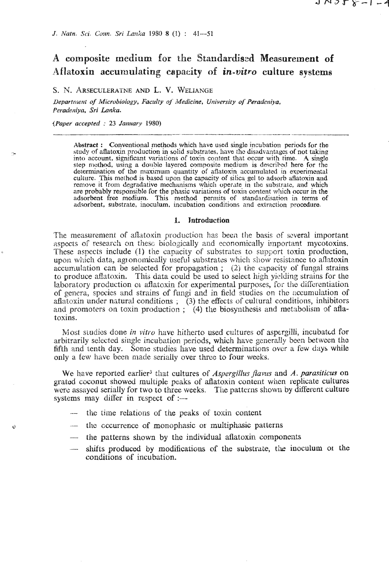# A composite medium for the Standardised Measurement of Aflatoxin accumulating capacity of *in-vitro* culture systems

りいこん ペーレー

# **S.** *9.* **ARSECULERATNE AND** L. **V. WELIAKGE**

*Deparrnieni of Microbiology, Faculty of' Medicine.* **University** *of* **Peradeniya. !'eradeniyn. Sri Lanku.** 

*(Paper accepted* : *23 3an1tar.y 1980)* 

riy

 $\ddot{\mathrm{o}}$ 

**Abstract** : Conventional methods which have used single incubation **periods** for the study of aflatoxin production in solid substrates, have the disadvantages of not taking into account, significant variations of toxin content that occur with time. A single step method, using a double layered composite medium is described here for the determination of the maximum quantity of aflatoxin accumulated in experimental culture. This method is based upon the capacity of silica gel to adsorb aflatoxin and remove it from degradative mechanisms which operate in the substrate, and which are probably responsible for the phasic variations of toxin content which occur in the adsorbent free medium. This method permits of standardisation in **terms** of adsorbent, substrate, inoculum, incubation conditions and extraction procedure.

#### 1. Introduction

The measurement of aflatoxin production has been the basis of several important aspects of research on these biologically and economically important mycotoxins. These aspects include (1) the capacity of substrates to support toxin production, upon which data, agronomically useful substrates which show resistance to allatoxin accumulation can be selected for propagation ; (2) the capacity of fungal strains to produce aflatoxin. This data could be used to select high yielding strains for the laboratory production of aflatoxin for experimental purposes, for the differentiation of genera, species and strains of fungi and in field studies on the accumulation of aflatoxin under natural conditions; (3) the effects of cultural conditions, inhibitors and promoters on toxin production ; (4) the biosynthesis and metabolism of aflatoxins.

Most studies done in **vitro** have hitlierto used cultures of aspergilli, incubatcd for arbitrarily selected single incubation periods, which have generally been between the fifth and tenth day. Some studies have used determinations over a few days while only a few have been made serially over three to four weeks.

We have reported earlier<sup>3</sup> that cultures of *Aspergillus flavus* and *A. parasiticus* on grated coconut showed multiple peaks of aflatoxin content when replicate cultures were assayed serially for two to three weeks. The patterns shown by different culture systems may differ in respect of :-

- -- the time relations of the peaks of toxin content
- -- the occurrence of monophasic or multiphasic patterns
- the patterns shown by the individual aflatoxin components
- shifts produced by modifications of the substrate, the inoculum or the conditions of incubation.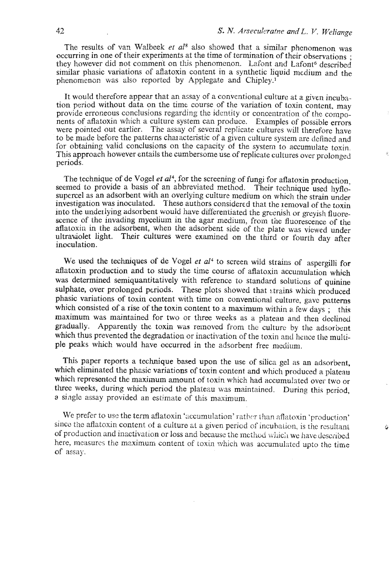The results of van Walbeek *et a18* also showed that a similar phenomenon was occurring in one of their experiments at the time of termination of their observations; they however did not comment on this phenomenon. Lafont and Lafont<sup>6</sup> described sinilar phasic variations of aflatoxin content in a synthetic liquid medium and the phenomenon was also reported by Applegate and Chipley.<sup>1</sup>

It would therefore appear that an assay of a conventjonal culture at a given incubation period without data on the time course of the variation of toxin content, may provide erroneous conclusions regarding the identity or concentration of the components of aflatoxin which a culture system can produce. Examples of possible errors were pointed out earlier. The assay of several replicate cultures will therefore have to be made before the patterns characteristic of a given culture system are defined and for obtaining valid conclusions on the capacity of the system to accumulate toxin. This approach however entails the cumbersome use of replicate cultures over prolonged periods.

The technique of de Vogel *et al<sup>4</sup>*, for the screening of fungi for aflatoxin production, seemed to provide a basis of an abbreviated method. Their technique used hyflosupercel as an adsorbent with an overlying culture medium on which the strain under investigation was inoculated. These authors considered that the removal of the toxin into the underlying adsorbent would have differentiated the greenish or greyish fluorescence of the invading mycelium in the agar medium, from the fluorescence of the aflatoxin in the adsorbent, when the adsorbent side of the plate was viewed under ultraviolet light. Their cultures were examined on the third or fourth day after inoculation.

We used the techniques of de Vogel et al<sup>4</sup> to screen wild strains of aspergilli for aflatoxin production and to study the time course of aflatoxin accumulation which was determined semiquantitatively with reference to standard solutions of quinine sulphate, over prolonged periods. These plots showed that strains which produced phasic variations of toxin content with time on conventional. culture, gavc patterns which consisted of a rise of the toxin content to a maximum within a few days; this maximum was maintained for two or three weeks as a plateau and then declined gradually. Apparently the toxin **was** rernovcd from the culturc by the adsorbent which thus prevented the degradation or inactivation of the toxin and hence the multiple peaks which would have occurred in the adsorbent free medium.

This paper reports a technique based upon the use of silica gel as an adsorbent, which eliminated the phasic variations of toxin content and which produced a plateau which represented the maximum amount of toxin which had accumulsted over two or three weeks, during which period the plateau was maintained. During this period, a single assay provided an estimate of this masimum.

We prefer to use the term aflatoxin 'accumulation' rather than aflatoxin 'production' since the aflatoxin content of a culture at a given period of incubation, is the resultant of production and inactivation or loss and because the method which we have described here, measures the maximum content of toxin which was accumulated upto the time of assay.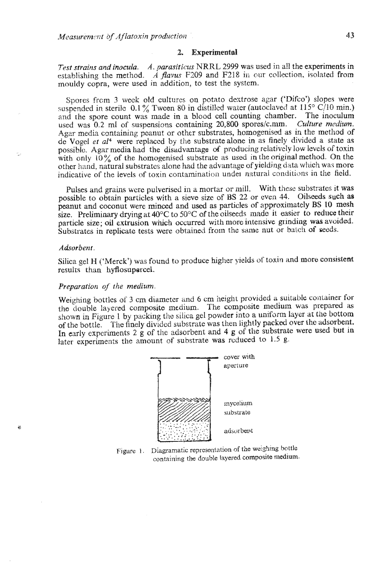#### **2. Experimental**

*Test strains and inocula. A. parasiticus NRRL 2999* was used in a!] the experiments in establishing the method. **A flavus** F209 and F218 in our collection, isolated from mouldy copra, were used in addition, to test the system.

Spores frcm 3 week old cultures on potato dextrose agar ('Difco') slopes were suspended in sterile  $0.1\%$  Tween 80 in distilled water (autoclaved at  $115^{\circ}$  C/10 min.) and the spore count was made in a blood cell counting chamber. The inoculum used was 0.2 ml of suspensions containing 20,800 spores/c.mm. *Culture medium*. Agar media containing peanut or other substrates, homogenised as in the method of de Vogel **ef a14** were replaced by the substratealone in as finely divided a state as possible. **Agar** media had the disadvantage **d'** producing relatively low levels of toxin with only  $10\%$  of the homogenised substrate as used in the original method. On the other hand, natural substrates alone had the advantage of yielding data which was more indicative of the levels of toxin contamination under natural conditions in the field.

Pulses and grains wcrc pulverised in a mortar or mill. **With** these **substrates it was**  possible to obtain particles with a sieve size of **BS** 22 or even 44. Oilseeds such as peanut and coconut were minced and used as particles of approximately BS 10 mesh size. Preliminary drying at **40°C** to **50°C** ofthe oilseeds made it easier to reduce their particle size; oil extrusion which occurred with more intensive grinding was avoided. Substrates in replicate tests were obtained from the same nut or batch of seeds.

# *Adsorbent*

۵Ń

Silica gel H ('Merck') was found to produce higher yields of toxin **and** more consistent results than hyflosupercel.

#### *Preparation oj' the* **medium.**

Weighing bottles of 3 cm diameter and 6 cm height provided a suitable container for the clouhle layered composite medium. The composite medium was prepared **as**  shown in Figure 1 by packing the silica gel powder into a uaiform layer **at** the bottom of the bottle. The finely dividcd substrate was then lightly packed over the adsorbent. In early experiments **2** g of the adsorbent and 4 **g** of the substrate **were** used **but** in later experiments the amount **of** substrate was rcduced to **1.5 g.** 



Figure 1. Diagramatic representation of the weighing bottle containing the double layered composite **medium.**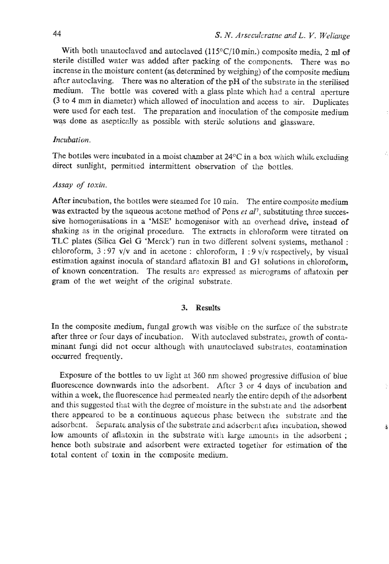š

With both unautoclaved and autoclaved (115°C/10 min.) composite media, 2 ml of sterile distilled water was added after packing of the components. There was no increase in the moisture content (as determined by weighing) of the composite medium after auteclaving. There was no alteration of the pH of the substrzte in the sterilised medium. The bottle was covered with a glass plzte which had a central aperture **(3** to 4 mm in diameter) which allowed of inoculation and access to air. Duplicates were used for each test. The preparation and inoculation of the composite medium was done as aseptically as possible with sterile solutions and glassware.

# *Incubation.*

The bottles were incubated in a moist chamber at 24°C in a box which while excluding direct sunlight, permitted intermittent observation of the bottles.

## *Assay* **of** *toxir?~.*

After incubation, the bottles were steamed for 10 min. The entire composite medium was extracted by the aqueous acetone method of Pons et al<sup>7</sup>, substituting three successive homogenisations in a 'MSE' homogenisor with an overhead drive, instead of shaking as in the original procedure. The extracts in chloroform were titrated on TLC plates (Silica Gel G 'Merck') run in two different solvent systems, methanol : chloroform, 3 : 97 **v/v** and in acetone : chloroform, 1 : **9 v/v** respectively, by visual estimation against inocula of standard atlatoxin **B1** and GI solutions in chloroform, of known concentration. The results are expressed as micrograms of aflatoxin per gram of the wet weight of the original substrate.

### 3. Results

In the composite medium, fungal growth **was** visible on the surfzce of the substrate after three or four days of incubation. With autoclaved substrates, growth of contaminant fungi did not occur although with unautoclaved substrates, contamination occurred frequently.

Exposure of the bottles to uv light at 360 nm showed progressive diffusion of blue fluorescence downwards into the adsorbent. After 3 or 4 days of incubation and within a week, the fluorescence had permeated nearly the entire depth of the adsorbent and this suggested that with the degree of moisture in the substrate and the adsorbent there appeared to be **a** continuous aqueous **phasc** between ~hc substrate and the adsorbent. Separate analysis of the substrate and adsorbent after incubation, showed low amounts of aflatoxin in the substrate with large amounts in the adsorbent; hence both substrate and adsorbent were extracted together for estimation of the total content of toxin in the composite medium.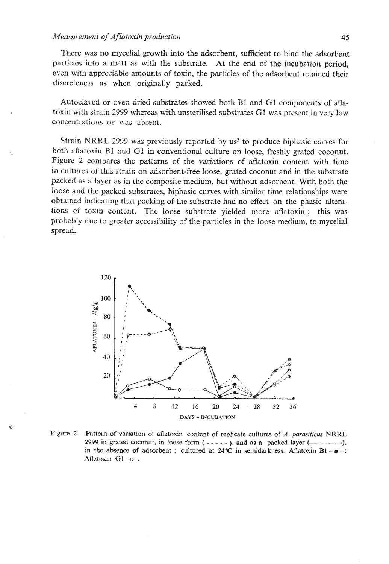There was no mycelial growth hto the adsorbent, sufficient to bind the adsorbent particles into a matt as with the substrate. At the end of the incubation period, even with appreciable mounts of toxin, the particles of the adsorbent retained their discreteness as when originally packed.

Autoclaved or oven dried substrates showed both B1 and G1 components of aflatoxin with strein 2999 whereas with unsterilised substrates GI **was** prcscnt in very low concentrations or was absent.

Strain NRRL 2999 was previously reported by us<sup>3</sup> to produce biphasic curves for both aflatoxin B1 and G1 in conventional culture on loose, freshly grated coconut. Figure **2** compares the patterns of the variations of aflatoxin content with time in cultures of this strain on adsorbent-free loose, grated coconut and in the substrate packed as a layer as in the composite medium, but without adsorbent. With both the loose and the packed substrates, biphasic curves with similar time relationships were obtained indicating that packing of the substrate had no effect on the phasic alterations of toxin contcat. The loose substrate yielded **more** aflatoxin ; this was probably due to greater accessibility of the particles in the loose medium, to mycelial spread.



Figure 2. Pattern of variation of aflatoxin content of replicate cultures of A. *parasiticus* NRRL **2999** in grated coconut, in loose form  $(- - - -)$ , and as a packed layer  $(\_\_\_\_\_\_$ , in the absence of adsorbent ; cultured at  $24^{\circ}$ C in semidarkness. Aflatoxin B1  $-\omega$  -: **,4flntoxin GI -a-.**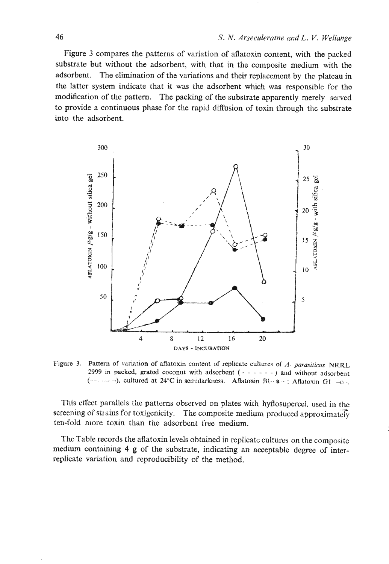Figure **3** compares the patterns of variation of aflatoxin content, with the packed substrate but without the adsorbent, with that in the composite medium with the adsorbent. The elimination of the variations and their replacement by the plateau in the latter system indicate that it **was** the adsorbent which was responsible for the modification of the pattern. The packing of the substrate apparently merely served to provide a continuous phase for the rapid diffusion of toxin through the substrate into the adsorbent.



**f'igure 3.** Pattern of variation of aflatoxin content of replicate cultures of A. *parasiticus* **NRRL** 2999 in packed, grated coconut with adsorbent  $(- - - - - -)$  and without adsorbent (------------------), cultured at 24°C in semidarkness. Aflatoxin BI- $\cdot$  a  $\cdot$  ; Aflatoxin GI  $-0$ .

This effect parallels the patterns observed on plates with hyflosupercel, used in the screening of strains for toxigenicity. The composite medium produced approximately ten-fold more toxin than the adsorbent **free** medium.

The Table records the aflatoxin levels obtained in replicate cultures on the compositc medium containing 4 g of the substrate, indicating an acceptable degree of **intcr**replicate variation and reproducibility of the method.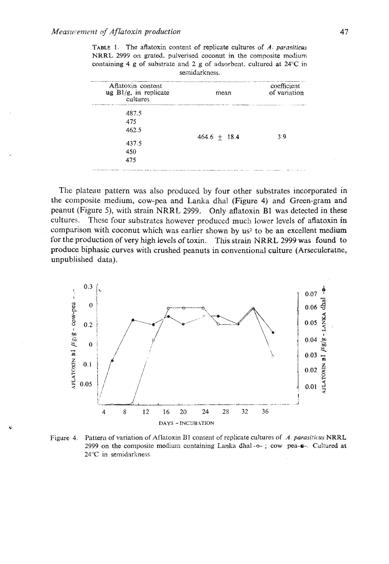| TABLE 1. The atlatoxin content of replicate cultures of A. parasiticus          |  |  |  |
|---------------------------------------------------------------------------------|--|--|--|
| NRRL 2999 on grated, pulverised coconut in the composite medium                 |  |  |  |
| containing 4 g of substrate and 2 g of adsorbent, cultured at $24^{\circ}$ C in |  |  |  |
| semidarkness.                                                                   |  |  |  |

| Aflatoxin content<br>ug $B1/g$ , in replicate<br>cultures | mean           | coefficient<br>of variation |
|-----------------------------------------------------------|----------------|-----------------------------|
| 487.5                                                     |                |                             |
| 475                                                       |                |                             |
| 462.5                                                     |                |                             |
|                                                           | $464.6 + 18.4$ | 3.9                         |
| 437.5                                                     |                |                             |
| 450                                                       |                |                             |
| 475                                                       |                |                             |

The plateau pattern was also produced by four other substrates incorporated in the composite medium, cow-pea and Lanka dhal (Figure 4) and Green-gram and peanut (Figure 5), with strain NRRL 2999. Only aflatoxin B1 was detected in these cultures. These four substrates however produced much lower levels of aflatoxin in comparison with coconut which was earlier shown by us<sup>2</sup> to be an excellent medium for the production of very high levels of toxin. This strain NRRL 2999 was found to produce biphasic curves with crushed peanuts in conventional culture (Arseculeratne, unpublished data).



Figure 4. Pattern of variation of Aflatoxin B1 content of replicate cultures of A. parasiticus NRRL 2999 on the composite medium containing Lanka dhal-o-; cow pea- $\bullet$ -. Cultured at 24°C in semidarkness.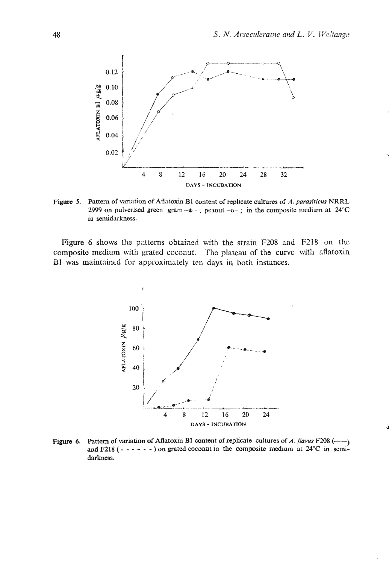

**Figure 5. Pattern of variation of Atlatoxin B1 content of replicate cultures of A.** *pnrasiticus* **NRRL**  2999 on pulverised green  $\text{gram} - \bullet -$ ;  $\text{peanut} - \bullet -$ ; in the composite medium at  $24^{\circ}\text{C}$ **in semidarkness.** 

**Figure 6 shows** tho patterns **obtaiiled with the strain P208 and F218** on the: **composite medium with** grated coconut. The **plateau of the curve with zflatoxin**  B1 was maintained for approximately ten days in both instances.



Figure 6. Pattern of variation of Aflatoxin B1 content of replicate cultures of A. flavus  $F208$  (---) and  $F218$  (- - - - - - ) on grated coconut in the composite medium at  $24^{\circ}$ C in semi**darkness.**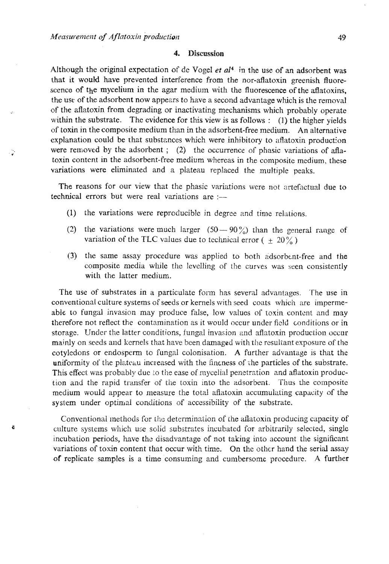×

#### $\boldsymbol{4}$ . **Discussion**

Although the original expectation of de Vogel et  $al<sup>4</sup>$  in the use of an adsorbent was that it would have prevented interference from the nor-aflatoxin greenish fluorescence of the mycelium in the agar medium with the fluorescence of the aflatoxins, the use of the adsorbent now appears to have a second advantage which is the removal of the aflatoxin from degrading or inactivating mechanisms which probably operate within the substrate. The evidence for this view is as follows :  $(1)$  the higher yields of toxin in the composite medium than in the adsorbent-free medium. An alternative explanation could be that substances which were inhibitory to aflatoxin production were removed by the adsorbent; (2) the occurrence of phasic variations of aflatoxin content in the adsorbent-free medium whereas in the composite medium, these variations were eliminated and a plateau replaced the multiple peaks.

The reasons for our view that the phasic variations were not artefactual due to technical errors but were real variations are :-

- (1) the variations were reproducible in degree and time relations.
- (2) the variations were much larger  $(50 90\%)$  than the general range of variation of the TLC values due to technical error  $(\pm 20\%)$
- (3) the same assay procedure was applied to both adsorbent-free and the composite media while the levelling of the curves was seen consistently with the latter medium.

The use of substrates in a particulate form has several advantages. The use in conventional culture systems of seeds or kernels with seed coats which are impermeable to fungal invasion may produce false, low values of toxin content and may therefore not reflect the contamination as it would occur under field conditions or in storage. Under the latter conditions, fungal invasion and aflatoxin production occur mainly on seeds and kernels that have been damaged with the resultant exposure of the cotyledons or endosperm to fungal colonisation. A further advantage is that the uniformity of the plateau increased with the finances of the particles of the substrate. This effect was probably due to the ease of mycelial penetration and aflatoxin production and the rapid transfer of the toxin into the adsorbent. Thus the composite medium would appear to measure the total aflatoxin accumulating capacity of the system under optimal conditions of accessibility of the substrate.

Conventional methods for the determination of the aflatoxin producing capacity of culture systems which use solid substrates incubated for arbitrarily selected, single incubation periods, have the disadvantage of not taking into account the significant variations of toxin content that occur with time. On the other hand the serial assay of replicate samples is a time consuming and cumbersome procedure. A further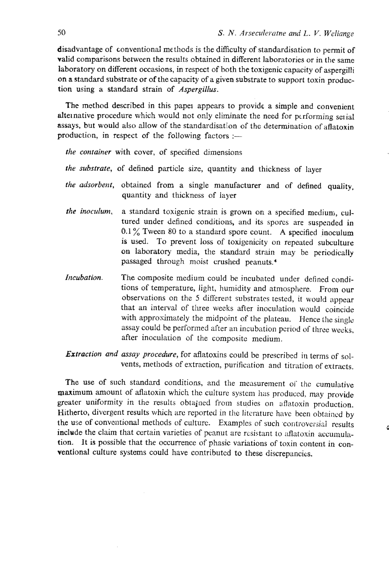disadvantage of conventional methods is the difficulty of standardisation to permit of valid comparisons between the results obtained in different laboratories or in the same laboratory on different occasions, in respect of both the toxigenic capacity of aspergilli on a standard substrate or of the capacity of a given substrate to support toxin production using a standard strain of *Aspergillus.* 

The method described in this papei appears to provide a simple and convenient alternative procedure which would not only eliminate the need for performing serial assays, **but** would also allow of the standardisation of the determination of aflatoxin production, in respect of the following factors  $:$ 

*the container* with cover, of specified dimensions

- the substrate, of defined particle size, quantity and thickness of layer
- *the adsorbent,* obtained from a single manufacturer and of defined quality, quantity and thickness of layer
- *the inoculurn,* a standard toxigenic strain is grown on a specified medium, cultured under defined conditions, and **its** spores are suspended in  $0.1\%$  Tween 80 to a standard spore count. A specified inoculum is used. To prevent loss of toxigenicity on repeated subculture on laboratory media, the stadard strain may be periodically passaged through moist crushed peanuts.'
- *Incubation.* The composite medium could be incubated under defined conditions of temperature, light, humidity and atmosphere. From our observations on the 5 diflerent substrates tested, it would appear that an interval of three weeks after inoculation would coincide with approximately the midpoint of the plateau. Hence the single assay could be performed afrer an incubation period of three weeks, after inoculation **of** the compositc **medium.**
- *Extraction and assay procedure,* for aflatoxins could be prescribed in terms of solvents, methods of extraction, purification and titration of extracts.

The use of such standard conditions, and the measurement of the cumulative maximum amount of aflatoxin which the culture system has produced, may provide greater uniformity in the results obtained from studies on aflatoxin production. Hitherto, divergent results which are reported in the literature have been obtained by the use of conventional methods of culture. Examples of such controversial results include the claim that certain varieties of peanut are resistant to aflatoxin accumulation. It is possible that the occurrence of phasic variations of toxin content in conventional culture systems could have contributed to these discrepancies.